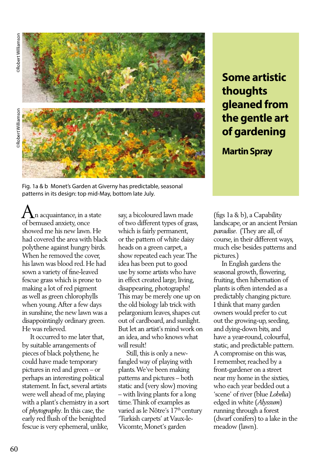**ORobert Williamson** ©Robert Williamson

©Robert Williamson

**PRobert Williamson** 



## **Some artistic thoughts gleaned from the gentle art of gardening**

**Martin Spray**

Fig. 1a & b Monet's Garden at Giverny has predictable, seasonal patterns in its design: top mid-May, bottom late July.

 $\bigwedge_{c}$ n acquaintance, in a state of bemused anxiety, once showed me his new lawn. He had covered the area with black polythene against hungry birds. When he removed the cover, his lawn was blood red. He had sown a variety of fine-leaved fescue grass which is prone to making a lot of red pigment as well as green chlorophylls when young. After a few days in sunshine, the new lawn was a disappointingly ordinary green. He was relieved.

 It occurred to me later that, by suitable arrangements of pieces of black polythene, he could have made temporary pictures in red and green – or perhaps an interesting political statement. In fact, several artists were well ahead of me, playing with a plant's chemistry in a sort of *phytography*. In this case, the early red flush of the benighted fescue is very ephemeral, unlike,

say, a bicoloured lawn made of two different types of grass, which is fairly permanent, or the pattern of white daisy heads on a green carpet, a show repeated each year. The idea has been put to good use by some artists who have in effect created large, living, disappearing, photographs! This may be merely one up on the old biology lab trick with pelargonium leaves, shapes cut out of cardboard, and sunlight. But let an artist's mind work on an idea, and who knows what will result!

 Still, this is only a newfangled way of playing with plants. We've been making patterns and pictures – both static and (very slow) moving – with living plants for a long time. Think of examples as varied as le Nôtre's 17<sup>th</sup> century 'Turkish carpets' at Vaux-le-Vicomte, Monet's garden

(figs 1a & b), a Capability landscape, or an ancient Persian *paradise*. (They are all, of course, in their different ways, much else besides patterns and pictures.)

 In English gardens the seasonal growth, flowering, fruiting, then hibernation of plants is often intended as a predictably changing picture. I think that many garden owners would prefer to cut out the growing-up, seeding, and dying-down bits, and have a year-round, colourful, static, and predictable pattern. A compromise on this was, I remember, reached by a front-gardener on a street near my home in the sixties, who each year bedded out a 'scene' of river (blue *Lobelia*) edged in white (*Alyssum*) running through a forest (dwarf conifers) to a lake in the meadow (lawn).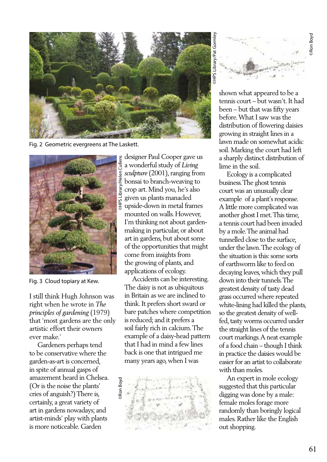

Fig. 2 Geometric evergreens at The Laskett.



Fig. 3 Cloud topiary at Kew.

I still think Hugh Johnson was right when he wrote in *The principles of gardening* (1979) that 'most gardens are the only artistic effort their owners ever make.'

 Gardeners perhaps tend to be conservative where the garden-as-art is concerned, in spite of annual gasps of amazement heard in Chelsea. (Or is the noise the plants' cries of anguish?) There is, certainly, a great variety of art in gardens nowadays; and artist-minds' play with plants is more noticeable. Garden

designer Paul Cooper gave us a wonderful study of *Living sculpture* (2001), ranging from bonsai to branch-weaving to crop art. Mind you, he's also given us plants manacled upside-down in metal frames mounted on walls. However, I'm thinking not about gardenmaking in particular, or about art in gardens, but about some of the opportunities that might come from insights from the growing of plants, and applications of ecology.

 Accidents can be interesting. The daisy is not as ubiquitous in Britain as we are inclined to think. It prefers short sward or bare patches where competition is reduced; and it prefers a soil fairly rich in calcium. The example of a daisy-head pattern that I had in mind a few lines back is one that intrigued me many years ago, when I was





shown what appeared to be a tennis court – but wasn't. It had been – but that was fifty years before. What I saw was the distribution of flowering daisies growing in straight lines in a lawn made on somewhat acidic soil. Marking the court had left a sharply distinct distribution of lime in the soil.

 Ecology is a complicated business. The ghost tennis court was an unusually clear example of a plant's response. A little more complicated was another ghost I met. This time, a tennis court had been invaded by a mole. The animal had tunnelled close to the surface, under the lawn. The ecology of the situation is this: some sorts of earthworm like to feed on decaying leaves, which they pull down into their tunnels. The greatest density of tasty dead grass occurred where repeated white-lining had killed the plants, so the greatest density of wellfed, tasty worms occurred under the straight lines of the tennis court markings. A neat example of a food chain – though I think in practice the daisies would be easier for an artist to collaborate with than moles.

 An expert in mole ecology suggested that this particular digging was done by a male: female moles forage more randomly than boringly logical males. Rather like the English out shopping.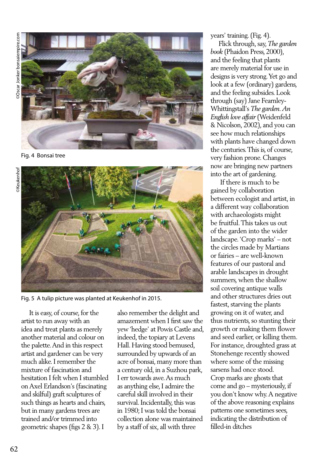

Fig. 4 Bonsai tree



Fig. 5 A tulip picture was planted at Keukenhof in 2015.

 It is easy, of course, for the artist to run away with an idea and treat plants as merely another material and colour on the palette. And in this respect artist and gardener can be very much alike. I remember the mixture of fascination and hesitation I felt when I stumbled on Axel Erlandson's (fascinating and skilful) graft sculptures of such things as hearts and chairs, but in many gardens trees are trained and/or trimmed into geometric shapes (figs 2 & 3). I

also remember the delight and amazement when I first saw the yew 'hedge' at Powis Castle and, indeed, the topiary at Levens Hall. Having stood bemused, surrounded by upwards of an acre of bonsai, many more than a century old, in a Suzhou park, I err towards awe. As much as anything else, I admire the careful skill involved in their survival. Incidentally, this was in 1980; I was told the bonsai collection alone was maintained by a staff of six, all with three

years' training. (Fig. 4).

 Flick through, say, *The garden book* (Phaidon Press, 2000), and the feeling that plants are merely material for use in designs is very strong. Yet go and look at a few (ordinary) gardens, and the feeling subsides. Look through (say) Jane Fearnley-Whittingstall's *The garden. An English love affair* (Weidenfeld & Nicolson, 2002), and you can see how much relationships with plants have changed down the centuries. This is, of course, very fashion prone. Changes now are bringing new partners into the art of gardening.

 If there is much to be gained by collaboration between ecologist and artist, in a different way collaboration with archaeologists might be fruitful. This takes us out of the garden into the wider landscape. 'Crop marks' – not the circles made by Martians or fairies – are well-known features of our pastoral and arable landscapes in drought summers, when the shallow soil covering antique walls and other structures dries out fastest, starving the plants growing on it of water, and thus nutrients, so stunting their growth or making them flower and seed earlier, or killing them. For instance, droughted grass at Stonehenge recently showed where some of the missing sarsens had once stood. Crop marks are ghosts that come and go – mysteriously, if you don't know why. A negative of the above reasoning explains patterns one sometimes sees, indicating the distribution of filled-in ditches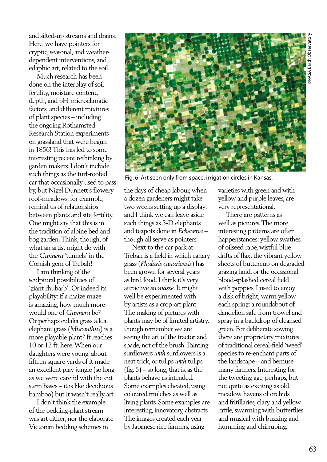and silted-up streams and drains. Here, we have pointers for cryptic, seasonal, and weatherdependent interventions, and edaphic art, related to the soil.

 Much research has been done on the interplay of soil fertility, moisture content, depth, and pH, microclimatic factors, and different mixtures of plant species – including the ongoing Rothamsted Research Station experiments on grassland that were begun in 1856! This has led to some interesting recent rethinking by garden makers. I don't include such things as the turf-roofed car that occasionally used to pass by, but Nigel Dunnett's flowery roof-meadows, for example, remind us of relationships between plants and site fertility. One might say that this is in the tradition of alpine bed and bog garden. Think, though, of what an artist might do with the *Gunnera* 'tunnels' in the Cornish gem of Trebah!

 I am thinking of the sculptural possibilities of 'giant rhubarb'. Or indeed its playability: if a maize maze is amazing, how much more would one of *Gunnera* be? Or perhaps eulalia grass a.k.a. elephant grass (*Miscanthus*) is a more playable plant? It reaches 10 or 12 ft. here. When our daughters were young, about fifteen square yards of it made an excellent play jungle (so long as we were careful with the cut stem bases – it is like deciduous bamboo) but it wasn't really art.

 I don't think the example of the bedding-plant stream was art either; nor the elaborate Victorian bedding schemes in



Fig. 6 Art seen only from space: irrigation circles in Kansas.

the days of cheap labour, when a dozen gardeners might take two weeks setting up a display; and I think we can leave aside such things as 3-D elephants and teapots done in *Echeveria* – though all serve as pointers.

 Next to the car park at Trebah is a field in which canary grass (*Phalaris canariensis*) has been grown for several years as bird food. I think it's very attractive *en masse*. It might well be experimented with by artists as a crop-art plant. The making of pictures with plants may be of limited artistry, though remember we are seeing the art of the tractor and spade, not of the brush. Painting sunflowers *with* sunflowers is a neat trick, or tulips *with* tulips  $(fig. 5)$  – so long, that is, as the plants behave as intended. Some examples cheated, using coloured mulches as well as living plants. Some examples are interesting, innovatory, abstracts. The images created each year by Japanese rice farmers, using

varieties with green and with yellow and purple leaves, are very representational.

 There are patterns as well as pictures. The more interesting patterns are often happenstances: yellow swathes of oilseed rape, wistful blue drifts of flax, the vibrant yellow sheets of buttercup on degraded grazing land, or the occasional blood-splashed cereal field with poppies. I used to enjoy a disk of bright, warm yellow each spring: a roundabout of dandelion safe from trowel and spray in a backdrop of cleansed green. For deliberate sowing there are proprietary mixtures of traditional cereal-field 'weed' species to re-enchant parts of the landscape – and bemuse many farmers. Interesting for the tweeting age, perhaps, but not quite as exciting as old meadow havens of orchids and fritillaries, clary and yellow rattle, swarming with butterflies and musical with buzzing and humming and chirruping.